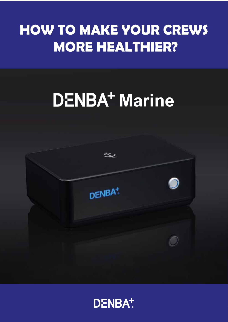# **HOW TO MAKE YOUR CREWS MORE HEALTHIER?**

# **DENBA<sup>+</sup>** Marine



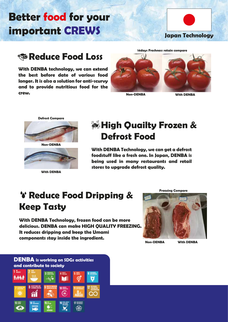## **Better food for your important CREWS**



#### **Reduce Food Loss**

**With DENBA technology, we can extend the best before date of various food longer. It is also a solution for anti-scurvy and to provide nutritious food for the crew.**



**Non-DENBA With DENBA**



**With DENBA**

### **High Quailty Frozen & Defrost Food**

**With DENBA Technology, we can get a defrost foodstuff like a fresh one. In Japan, DENBA is being used in many restaurants and retail stores to upgrade defrost quality.**

#### *<b>Y* Reduce Food Dripping & **Keep Tasty**

**With DENBA Technology, frozen food can be more delicious. DENBA can make HIGH QUALITY FREEZING. It reduces dripping and keep the Umami components stay inside the ingredient.** 



**Freezing Compare**

**Non-DENBA With DENBA**

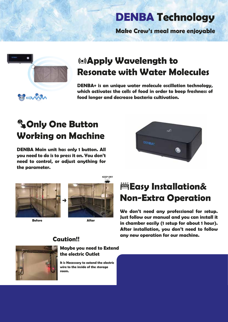## **DENBA Technology**

**Make Crew's meal more enjoyable**



#### **Apply Wavelength to Resonate with Water Molecules**

**DENBA+ is an unique water molecule oscillation technology, which activates the cells of food in order to keep freshness of food longer and decrease bacteria cultivation.**

## **Only One Button Working on Machine**

**DENBA Main unit has only 1 button. All you need to do is to press it on. You don't need to control, or adjust anything for the parameter.**

**Caution!!**





**Before After**



#### **Easy Installation& Non-Extra Operation**

**We don't need any professional for setup. Just follow our manual and you can install it in chamber easily (1 setup for about 1 hour). After installation, you don't need to follow any new operation for our machine.** 



#### **Maybe you need to Extend the electric Outlet**

**It is Necessary to extend the electric wire to the inside of the storage room.**